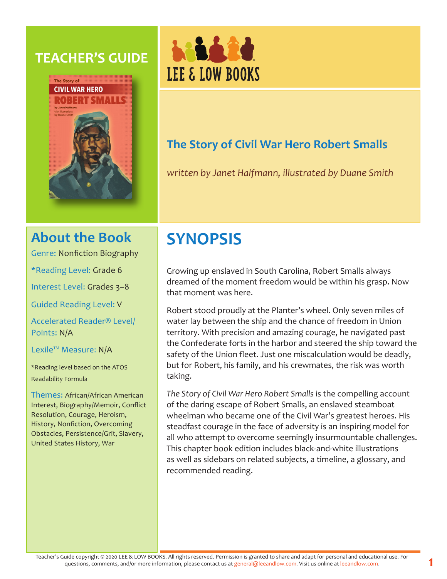## **TEACHER'S GUIDE**





## **The Story of Civil War Hero Robert Smalls**

*written by Janet Halfmann, illustrated by Duane Smith*

## **About the Book**

Genre: Nonfiction Biography

\*Reading Level: Grade 6

Interest Level: Grades 3–8

Guided Reading Level: V

Accelerated Reader® Level/ Points: N/A

Lexile™ Measure: N/A

\*Reading level based on the ATOS Readability Formula

Themes: African/African American Interest, Biography/Memoir, Conflict Resolution, Courage, Heroism, History, Nonfiction, Overcoming Obstacles, Persistence/Grit, Slavery, United States History, War

# **SYNOPSIS**

Growing up enslaved in South Carolina, Robert Smalls always dreamed of the moment freedom would be within his grasp. Now that moment was here.

Robert stood proudly at the Planter's wheel. Only seven miles of water lay between the ship and the chance of freedom in Union territory. With precision and amazing courage, he navigated past the Confederate forts in the harbor and steered the ship toward the safety of the Union fleet. Just one miscalculation would be deadly, but for Robert, his family, and his crewmates, the risk was worth taking.

*The Story of Civil War Hero Robert Smalls* is the compelling account of the daring escape of Robert Smalls, an enslaved steamboat wheelman who became one of the Civil War's greatest heroes. His steadfast courage in the face of adversity is an inspiring model for all who attempt to overcome seemingly insurmountable challenges. This chapter book edition includes black-and-white illustrations as well as sidebars on related subjects, a timeline, a glossary, and recommended reading.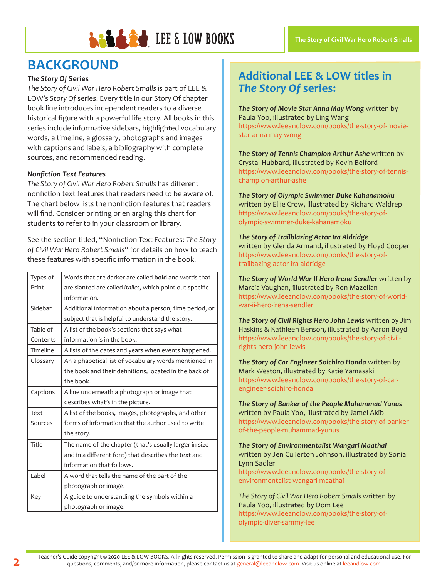

## **BACKGROUND**

#### *The Story Of* **Series**

*The Story of Civil War Hero Robert Smalls* is part of LEE & LOW's *Story Of* series. Every title in our Story Of chapter book line introduces independent readers to a diverse historical figure with a powerful life story. All books in this series include informative sidebars, highlighted vocabulary words, a timeline, a glossary, photographs and images with captions and labels, a bibliography with complete sources, and recommended reading.

#### *Nonfiction Text Features*

*The Story of Civil War Hero Robert Smalls* has different nonfiction text features that readers need to be aware of. The chart below lists the nonfiction features that readers will find. Consider printing or enlarging this chart for students to refer to in your classroom or library.

See the section titled, "Nonfiction Text Features: *The Story of Civil War Hero Robert Smalls*" for details on how to teach these features with specific information in the book.

| Types of | Words that are darker are called <b>bold</b> and words that      |
|----------|------------------------------------------------------------------|
| Print    | are slanted are called <i>italics</i> , which point out specific |
|          | information.                                                     |
| Sidebar  | Additional information about a person, time period, or           |
|          | subject that is helpful to understand the story.                 |
| Table of | A list of the book's sections that says what                     |
| Contents | information is in the book.                                      |
| Timeline | A lists of the dates and years when events happened.             |
| Glossary | An alphabetical list of vocabulary words mentioned in            |
|          | the book and their definitions, located in the back of           |
|          | the book.                                                        |
| Captions | A line underneath a photograph or image that                     |
|          | describes what's in the picture.                                 |
| Text     | A list of the books, images, photographs, and other              |
| Sources  | forms of information that the author used to write               |
|          | the story.                                                       |
| Title    | The name of the chapter (that's usually larger in size           |
|          | and in a different font) that describes the text and             |
|          | information that follows.                                        |
| Label    | A word that tells the name of the part of the                    |
|          | photograph or image.                                             |
| Key      | A guide to understanding the symbols within a                    |
|          | photograph or image.                                             |

## **Additional LEE & LOW titles in**  *The Story Of* **series:**

*The Story of Movie Star Anna May Wong* written by Paula Yoo, illustrated by Ling Wang https://www.leeandlow.com/books/the-story-of-moviestar-anna-may-wong

*The Story of Tennis Champion Arthur Ashe* written by Crystal Hubbard, illustrated by Kevin Belford https://www.leeandlow.com/books/the-story-of-tennischampion-arthur-ashe

*The Story of Olympic Swimmer Duke Kahanamoku*  written by Ellie Crow, illustrated by Richard Waldrep https://www.leeandlow.com/books/the-story-ofolympic-swimmer-duke-kahanamoku

*The Story of Trailblazing Actor Ira Aldridge*  written by Glenda Armand, illustrated by Floyd Cooper https://www.leeandlow.com/books/the-story-oftrailbazing-actor-ira-aldridge

*The Story of World War II Hero Irena Sendler* written by Marcia Vaughan, illustrated by Ron Mazellan https://www.leeandlow.com/books/the-story-of-worldwar-ii-hero-irena-sendler

*The Story of Civil Rights Hero John Lewis* written by Jim Haskins & Kathleen Benson, illustrated by Aaron Boyd https://www.leeandlow.com/books/the-story-of-civilrights-hero-john-lewis

*The Story of Car Engineer Soichiro Honda* written by Mark Weston, illustrated by Katie Yamasaki https://www.leeandlow.com/books/the-story-of-carengineer-soichiro-honda

*The Story of Banker of the People Muhammad Yunus*  written by Paula Yoo, illustrated by Jamel Akib https://www.leeandlow.com/books/the-story-of-bankerof-the-people-muhammad-yunus

*The Story of Environmentalist Wangari Maathai*  written by Jen Cullerton Johnson, illustrated by Sonia Lynn Sadler https://www.leeandlow.com/books/the-story-of-

environmentalist-wangari-maathai

*The Story of Civil War Hero Robert Smalls* written by Paula Yoo, illustrated by Dom Lee https://www.leeandlow.com/books/the-story-ofolympic-diver-sammy-lee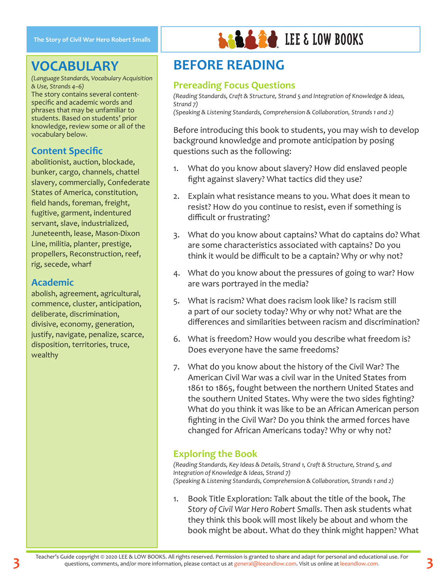## **VOCABULARY**

*(Language Standards, Vocabulary Acquisition & Use, Strands 4–6)* The story contains several contentspecific and academic words and phrases that may be unfamiliar to students. Based on students' prior knowledge, review some or all of the vocabulary below.

### **Content Specific**

abolitionist, auction, blockade, bunker, cargo, channels, chattel slavery, commercially, Confederate States of America, constitution, field hands, foreman, freight, fugitive, garment, indentured servant, slave, industrialized, Juneteenth, lease, Mason-Dixon Line, militia, planter, prestige, propellers, Reconstruction, reef, rig, secede, wharf

#### **Academic**

abolish, agreement, agricultural, commence, cluster, anticipation, deliberate, discrimination, divisive, economy, generation, justify, navigate, penalize, scarce, disposition, territories, truce, wealthy



# **BEFORE READING**

#### **Prereading Focus Questions**

*(Reading Standards, Craft & Structure, Strand 5 and Integration of Knowledge & Ideas, Strand 7) (Speaking & Listening Standards, Comprehension & Collaboration, Strands 1 and 2)*

Before introducing this book to students, you may wish to develop background knowledge and promote anticipation by posing questions such as the following:

- 1. What do you know about slavery? How did enslaved people fight against slavery? What tactics did they use?
- 2. Explain what resistance means to you. What does it mean to resist? How do you continue to resist, even if something is difficult or frustrating?
- 3. What do you know about captains? What do captains do? What are some characteristics associated with captains? Do you think it would be difficult to be a captain? Why or why not?
- 4. What do you know about the pressures of going to war? How are wars portrayed in the media?
- 5. What is racism? What does racism look like? Is racism still a part of our society today? Why or why not? What are the differences and similarities between racism and discrimination?
- 6. What is freedom? How would you describe what freedom is? Does everyone have the same freedoms?
- 7. What do you know about the history of the Civil War? The American Civil War was a civil war in the United States from 1861 to 1865, fought between the northern United States and the southern United States. Why were the two sides fighting? What do you think it was like to be an African American person fighting in the Civil War? Do you think the armed forces have changed for African Americans today? Why or why not?

### **Exploring the Book**

*(Reading Standards, Key Ideas & Details, Strand 1, Craft & Structure, Strand 5, and Integration of Knowledge & Ideas, Strand 7) (Speaking & Listening Standards, Comprehension & Collaboration, Strands 1 and 2)*

1. Book Title Exploration: Talk about the title of the book, *The Story of Civil War Hero Robert Smalls*. Then ask students what they think this book will most likely be about and whom the book might be about. What do they think might happen? What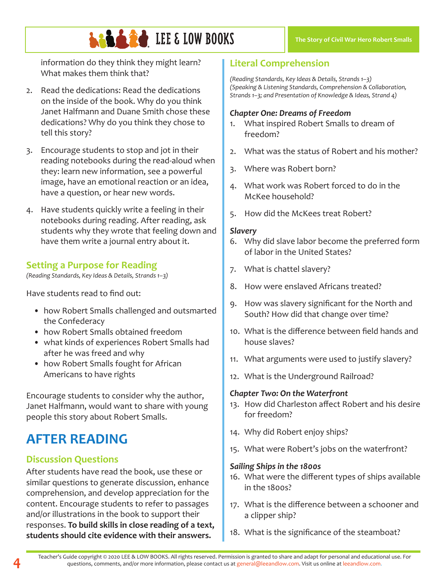# **LEE & LOW BOOKS**

information do they think they might learn? What makes them think that?

- 2. Read the dedications: Read the dedications on the inside of the book. Why do you think Janet Halfmann and Duane Smith chose these dedications? Why do you think they chose to tell this story?
- 3. Encourage students to stop and jot in their reading notebooks during the read-aloud when they: learn new information, see a powerful image, have an emotional reaction or an idea, have a question, or hear new words.
- 4. Have students quickly write a feeling in their notebooks during reading. After reading, ask students why they wrote that feeling down and have them write a journal entry about it.

### **Setting a Purpose for Reading**

*(Reading Standards, Key Ideas & Details, Strands 1–3)*

Have students read to find out:

- how Robert Smalls challenged and outsmarted the Confederacy
- how Robert Smalls obtained freedom
- what kinds of experiences Robert Smalls had after he was freed and why
- how Robert Smalls fought for African Americans to have rights

Encourage students to consider why the author, Janet Halfmann, would want to share with young people this story about Robert Smalls.

# **AFTER READING**

### **Discussion Questions**

After students have read the book, use these or similar questions to generate discussion, enhance comprehension, and develop appreciation for the content. Encourage students to refer to passages and/or illustrations in the book to support their responses. **To build skills in close reading of a text, students should cite evidence with their answers.**

### **Literal Comprehension**

*(Reading Standards, Key Ideas & Details, Strands 1–3) (Speaking & Listening Standards, Comprehension & Collaboration, Strands 1–3; and Presentation of Knowledge & Ideas, Strand 4)*

#### *Chapter One: Dreams of Freedom*

- 1. What inspired Robert Smalls to dream of freedom?
- 2. What was the status of Robert and his mother?
- 3. Where was Robert born?
- 4. What work was Robert forced to do in the McKee household?
- 5. How did the McKees treat Robert?

#### *Slavery*

- 6. Why did slave labor become the preferred form of labor in the United States?
- 7. What is chattel slavery?
- 8. How were enslaved Africans treated?
- 9. How was slavery significant for the North and South? How did that change over time?
- 10. What is the difference between field hands and house slaves?
- 11. What arguments were used to justify slavery?
- 12. What is the Underground Railroad?

#### *Chapter Two: On the Waterfront*

- 13. How did Charleston affect Robert and his desire for freedom?
- 14. Why did Robert enjoy ships?
- 15. What were Robert's jobs on the waterfront?

#### *Sailing Ships in the 1800s*

- 16. What were the different types of ships available in the 1800s?
- 17. What is the difference between a schooner and a clipper ship?
- 18. What is the significance of the steamboat?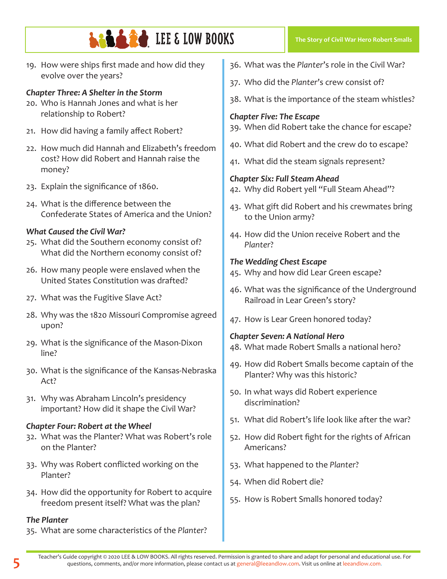19. How were ships first made and how did they evolve over the years?

#### *Chapter Three: A Shelter in the Storm*

- 20. Who is Hannah Jones and what is her relationship to Robert?
- 21. How did having a family affect Robert?
- 22. How much did Hannah and Elizabeth's freedom cost? How did Robert and Hannah raise the money?
- 23. Explain the significance of 1860.
- 24. What is the difference between the Confederate States of America and the Union?

#### *What Caused the Civil War?*

- 25. What did the Southern economy consist of? What did the Northern economy consist of?
- 26. How many people were enslaved when the United States Constitution was drafted?
- 27. What was the Fugitive Slave Act?
- 28. Why was the 1820 Missouri Compromise agreed upon?
- 29. What is the significance of the Mason-Dixon line?
- 30. What is the significance of the Kansas-Nebraska Act?
- 31. Why was Abraham Lincoln's presidency important? How did it shape the Civil War?

#### *Chapter Four: Robert at the Wheel*

- 32. What was the Planter? What was Robert's role on the Planter?
- 33. Why was Robert conflicted working on the Planter?
- 34. How did the opportunity for Robert to acquire freedom present itself? What was the plan?

#### *The Planter*

35. What are some characteristics of the *Planter*?

- 36. What was the *Planter*'s role in the Civil War?
- 37. Who did the *Planter*'s crew consist of?
- 38. What is the importance of the steam whistles?

#### *Chapter Five: The Escape*

- 39. When did Robert take the chance for escape?
- 40. What did Robert and the crew do to escape?
- 41. What did the steam signals represent?

#### *Chapter Six: Full Steam Ahead*

- 42. Why did Robert yell "Full Steam Ahead"?
- 43. What gift did Robert and his crewmates bring to the Union army?
- 44. How did the Union receive Robert and the *Planter*?

#### *The Wedding Chest Escape*

- 45. Why and how did Lear Green escape?
- 46. What was the significance of the Underground Railroad in Lear Green's story?
- 47. How is Lear Green honored today?

#### *Chapter Seven: A National Hero*

- 48. What made Robert Smalls a national hero?
- 49. How did Robert Smalls become captain of the Planter? Why was this historic?
- 50. In what ways did Robert experience discrimination?
- 51. What did Robert's life look like after the war?
- 52. How did Robert fight for the rights of African Americans?
- 53. What happened to the *Planter*?
- 54. When did Robert die?
- 55. How is Robert Smalls honored today?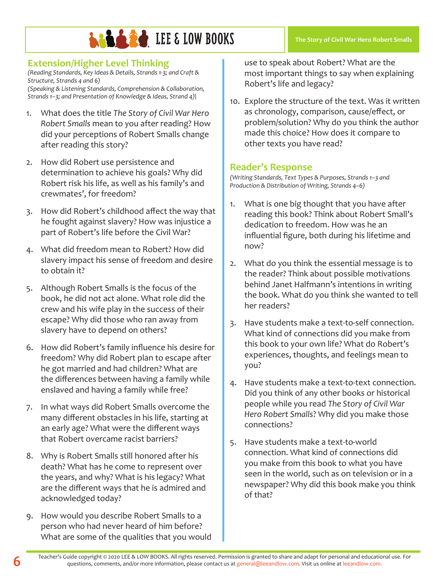### **Extension/Higher Level Thinking**

*(Reading Standards, Key Ideas & Details, Strands 1-3; and Craft & Structure, Strands 4 and 6) (Speaking & Listening Standards, Comprehension & Collaboration,* 

*Strands 1–3; and Presentation of Knowledge & Ideas, Strand 4)\*

- 1. What does the title *The Story of Civil War Hero Robert Smalls* mean to you after reading? How did your perceptions of Robert Smalls change after reading this story?
- 2. How did Robert use persistence and determination to achieve his goals? Why did Robert risk his life, as well as his family's and crewmates', for freedom?
- 3. How did Robert's childhood affect the way that he fought against slavery? How was injustice a part of Robert's life before the Civil War?
- 4. What did freedom mean to Robert? How did slavery impact his sense of freedom and desire to obtain it?
- 5. Although Robert Smalls is the focus of the book, he did not act alone. What role did the crew and his wife play in the success of their escape? Why did those who ran away from slavery have to depend on others?
- 6. How did Robert's family influence his desire for freedom? Why did Robert plan to escape after he got married and had children? What are the differences between having a family while enslaved and having a family while free?
- 7. In what ways did Robert Smalls overcome the many different obstacles in his life, starting at an early age? What were the different ways that Robert overcame racist barriers?
- 8. Why is Robert Smalls still honored after his death? What has he come to represent over the years, and why? What is his legacy? What are the different ways that he is admired and acknowledged today?
- 9. How would you describe Robert Smalls to a person who had never heard of him before? What are some of the qualities that you would

use to speak about Robert? What are the most important things to say when explaining Robert's life and legacy?

10. Explore the structure of the text. Was it written as chronology, comparison, cause/effect, or problem/solution? Why do you think the author made this choice? How does it compare to other texts you have read?

#### **Reader's Response**

*(Writing Standards, Text Types & Purposes, Strands 1–3 and Production & Distribution of Writing, Strands 4–6)*

- 1. What is one big thought that you have after reading this book? Think about Robert Small's dedication to freedom. How was he an influential figure, both during his lifetime and now?
- 2. What do you think the essential message is to the reader? Think about possible motivations behind Janet Halfmann's intentions in writing the book. What do you think she wanted to tell her readers?
- 3. Have students make a text-to-self connection. What kind of connections did you make from this book to your own life? What do Robert's experiences, thoughts, and feelings mean to you?
- 4. Have students make a text-to-text connection. Did you think of any other books or historical people while you read *The Story of Civil War Hero Robert Smalls*? Why did you make those connections?
- 5. Have students make a text-to-world connection. What kind of connections did you make from this book to what you have seen in the world, such as on television or in a newspaper? Why did this book make you think of that?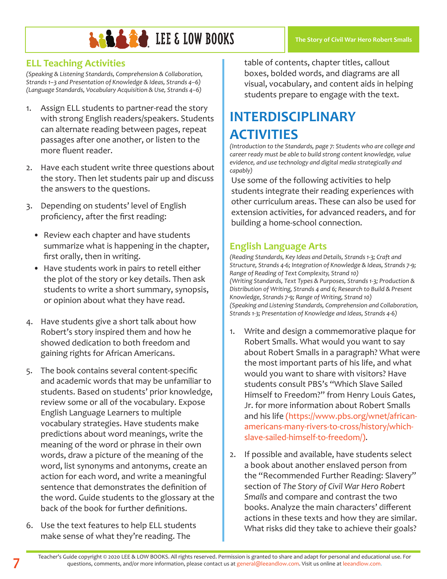### **ELL Teaching Activities**

*(Speaking & Listening Standards, Comprehension & Collaboration, Strands 1–3 and Presentation of Knowledge & Ideas, Strands 4–6) (Language Standards, Vocabulary Acquisition & Use, Strands 4–6)*

- 1. Assign ELL students to partner-read the story with strong English readers/speakers. Students can alternate reading between pages, repeat passages after one another, or listen to the more fluent reader.
- 2. Have each student write three questions about the story. Then let students pair up and discuss the answers to the questions.
- 3. Depending on students' level of English proficiency, after the first reading:
	- Review each chapter and have students summarize what is happening in the chapter, first orally, then in writing.
	- Have students work in pairs to retell either the plot of the story or key details. Then ask students to write a short summary, synopsis, or opinion about what they have read.
- 4. Have students give a short talk about how Robert's story inspired them and how he showed dedication to both freedom and gaining rights for African Americans.
- 5. The book contains several content-specific and academic words that may be unfamiliar to students. Based on students' prior knowledge, review some or all of the vocabulary. Expose English Language Learners to multiple vocabulary strategies. Have students make predictions about word meanings, write the meaning of the word or phrase in their own words, draw a picture of the meaning of the word, list synonyms and antonyms, create an action for each word, and write a meaningful sentence that demonstrates the definition of the word. Guide students to the glossary at the back of the book for further definitions.
- 6. Use the text features to help ELL students make sense of what they're reading. The

table of contents, chapter titles, callout boxes, bolded words, and diagrams are all visual, vocabulary, and content aids in helping students prepare to engage with the text.

# **INTERDISCIPLINARY ACTIVITIES**

*(Introduction to the Standards, page 7: Students who are college and career ready must be able to build strong content knowledge, value evidence, and use technology and digital media strategically and capably)*

Use some of the following activities to help students integrate their reading experiences with other curriculum areas. These can also be used for extension activities, for advanced readers, and for building a home-school connection.

### **English Language Arts**

*(Reading Standards, Key Ideas and Details, Strands 1-3; Craft and Structure, Strands 4-6; Integration of Knowledge & Ideas, Strands 7-9; Range of Reading of Text Complexity, Strand 10) (Writing Standards, Text Types & Purposes, Strands 1-3; Production & Distribution of Writing, Strands 4 and 6; Research to Build & Present Knowledge, Strands 7-9; Range of Writing, Strand 10) (Speaking and Listening Standards, Comprehension and Collaboration, Strands 1-3; Presentation of Knowledge and Ideas, Strands 4-6)*

- 1. Write and design a commemorative plaque for Robert Smalls. What would you want to say about Robert Smalls in a paragraph? What were the most important parts of his life, and what would you want to share with visitors? Have students consult PBS's "Which Slave Sailed Himself to Freedom?" from Henry Louis Gates, Jr. for more information about Robert Smalls and his life (https://www.pbs.org/wnet/africanamericans-many-rivers-to-cross/history/whichslave-sailed-himself-to-freedom/).
- 2. If possible and available, have students select a book about another enslaved person from the "Recommended Further Reading: Slavery" section of *The Story of Civil War Hero Robert Smalls* and compare and contrast the two books. Analyze the main characters' different actions in these texts and how they are similar. What risks did they take to achieve their goals?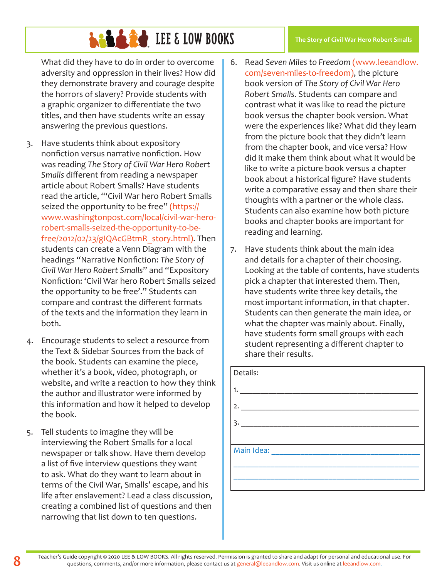What did they have to do in order to overcome adversity and oppression in their lives? How did they demonstrate bravery and courage despite the horrors of slavery? Provide students with a graphic organizer to differentiate the two titles, and then have students write an essay answering the previous questions.

- 3. Have students think about expository nonfiction versus narrative nonfiction. How was reading *The Story of Civil War Hero Robert Smalls* different from reading a newspaper article about Robert Smalls? Have students read the article, "'Civil War hero Robert Smalls seized the opportunity to be free" (https:// www.washingtonpost.com/local/civil-war-herorobert-smalls-seized-the-opportunity-to-befree/2012/02/23/gIQAcGBtmR\_story.html). Then students can create a Venn Diagram with the headings "Narrative Nonfiction: *The Story of Civil War Hero Robert Smalls*" and "Expository Nonfiction: 'Civil War hero Robert Smalls seized the opportunity to be free'." Students can compare and contrast the different formats of the texts and the information they learn in both.
- 4. Encourage students to select a resource from the Text & Sidebar Sources from the back of the book. Students can examine the piece, whether it's a book, video, photograph, or website, and write a reaction to how they think the author and illustrator were informed by this information and how it helped to develop the book.
- 5. Tell students to imagine they will be interviewing the Robert Smalls for a local newspaper or talk show. Have them develop a list of five interview questions they want to ask. What do they want to learn about in terms of the Civil War, Smalls' escape, and his life after enslavement? Lead a class discussion, creating a combined list of questions and then narrowing that list down to ten questions.
- 6. Read *Seven Miles to Freedom* (www.leeandlow. com/seven-miles-to-freedom), the picture book version of *The Story of Civil War Hero Robert Smalls*. Students can compare and contrast what it was like to read the picture book versus the chapter book version. What were the experiences like? What did they learn from the picture book that they didn't learn from the chapter book, and vice versa? How did it make them think about what it would be like to write a picture book versus a chapter book about a historical figure? Have students write a comparative essay and then share their thoughts with a partner or the whole class. Students can also examine how both picture books and chapter books are important for reading and learning.
- 7. Have students think about the main idea and details for a chapter of their choosing. Looking at the table of contents, have students pick a chapter that interested them. Then, have students write three key details, the most important information, in that chapter. Students can then generate the main idea, or what the chapter was mainly about. Finally, have students form small groups with each student representing a different chapter to share their results.

| Details:           |  |
|--------------------|--|
| 1. $\qquad \qquad$ |  |
| 2.                 |  |
| 3.                 |  |
|                    |  |
|                    |  |
|                    |  |
|                    |  |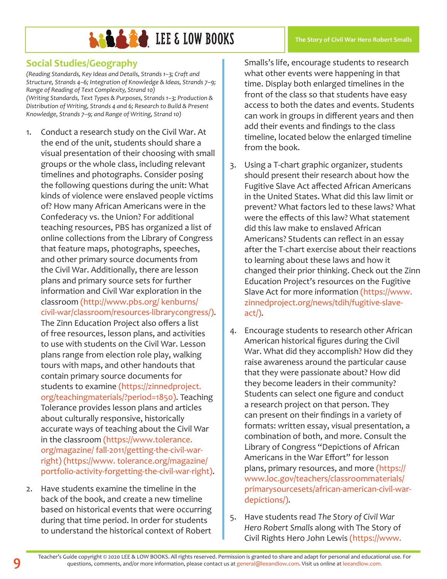#### **The Story of Civil War Hero Robert Smalls**

### **Social Studies/Geography**

*(Reading Standards, Key Ideas and Details, Strands 1–3; Craft and Structure, Strands 4–6; Integration of Knowledge & Ideas, Strands 7–9; Range of Reading of Text Complexity, Strand 10) (Writing Standards, Text Types & Purposes, Strands 1–3; Production & Distribution of Writing, Strands 4 and 6; Research to Build & Present Knowledge, Strands 7–9; and Range of Writing, Strand 10)*

- 1. Conduct a research study on the Civil War. At the end of the unit, students should share a visual presentation of their choosing with small groups or the whole class, including relevant timelines and photographs. Consider posing the following questions during the unit: What kinds of violence were enslaved people victims of? How many African Americans were in the Confederacy vs. the Union? For additional teaching resources, PBS has organized a list of online collections from the Library of Congress that feature maps, photographs, speeches, and other primary source documents from the Civil War. Additionally, there are lesson plans and primary source sets for further information and Civil War exploration in the classroom (http://www.pbs.org/ kenburns/ civil-war/classroom/resources-librarycongress/). The Zinn Education Project also offers a list of free resources, lesson plans, and activities to use with students on the Civil War. Lesson plans range from election role play, walking tours with maps, and other handouts that contain primary source documents for students to examine (https://zinnedproject. org/teachingmaterials/?period=1850). Teaching Tolerance provides lesson plans and articles about culturally responsive, historically accurate ways of teaching about the Civil War in the classroom (https://www.tolerance. org/magazine/ fall-2011/getting-the-civil-warright) (https://www. tolerance.org/magazine/ portfolio-activity-forgetting-the-civil-war-right).
- 2. Have students examine the timeline in the back of the book, and create a new timeline based on historical events that were occurring during that time period. In order for students to understand the historical context of Robert

Smalls's life, encourage students to research what other events were happening in that time. Display both enlarged timelines in the front of the class so that students have easy access to both the dates and events. Students can work in groups in different years and then add their events and findings to the class timeline, located below the enlarged timeline from the book.

- 3. Using a T-chart graphic organizer, students should present their research about how the Fugitive Slave Act affected African Americans in the United States. What did this law limit or prevent? What factors led to these laws? What were the effects of this law? What statement did this law make to enslaved African Americans? Students can reflect in an essay after the T-chart exercise about their reactions to learning about these laws and how it changed their prior thinking. Check out the Zinn Education Project's resources on the Fugitive Slave Act for more information (https://www. zinnedproject.org/news/tdih/fugitive-slaveact/).
- 4. Encourage students to research other African American historical figures during the Civil War. What did they accomplish? How did they raise awareness around the particular cause that they were passionate about? How did they become leaders in their community? Students can select one figure and conduct a research project on that person. They can present on their findings in a variety of formats: written essay, visual presentation, a combination of both, and more. Consult the Library of Congress "Depictions of African Americans in the War Effort" for lesson plans, primary resources, and more (https:// www.loc.gov/teachers/classroommaterials/ primarysourcesets/african-american-civil-wardepictions/).
- 5. Have students read *The Story of Civil War Hero Robert Smalls* along with The Story of Civil Rights Hero John Lewis (https://www.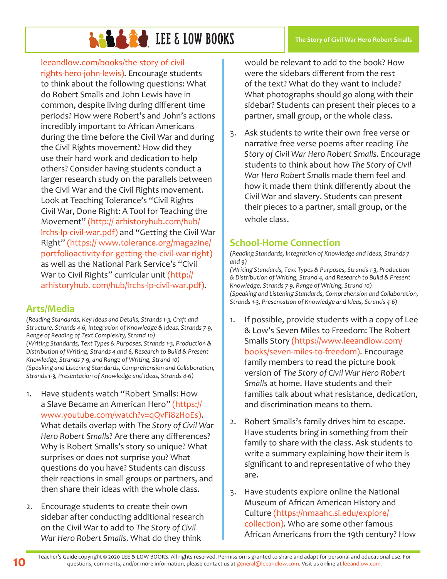leeandlow.com/books/the-story-of-civilrights-hero-john-lewis). Encourage students to think about the following questions: What do Robert Smalls and John Lewis have in common, despite living during different time periods? How were Robert's and John's actions incredibly important to African Americans during the time before the Civil War and during the Civil Rights movement? How did they use their hard work and dedication to help others? Consider having students conduct a larger research study on the parallels between the Civil War and the Civil Rights movement. Look at Teaching Tolerance's "Civil Rights Civil War, Done Right: A Tool for Teaching the Movement" (http:// arhistoryhub.com/hub/ lrchs-lp-civil-war.pdf) and "Getting the Civil War Right" (https:// www.tolerance.org/magazine/ portfolioactivity-for-getting-the-civil-war-right) as well as the National Park Service's "Civil War to Civil Rights" curricular unit (http:// arhistoryhub. com/hub/lrchs-lp-civil-war.pdf).

### **Arts/Media**

*(Reading Standards, Key Ideas and Details, Strands 1-3, Craft and Structure, Strands 4-6, Integration of Knowledge & Ideas, Strands 7-9, Range of Reading of Text Complexity, Strand 10) (Writing Standards, Text Types & Purposes, Strands 1-3, Production & Distribution of Writing, Strands 4 and 6, Research to Build & Present Knowledge, Strands 7-9, and Range of Writing, Strand 10) (Speaking and Listening Standards, Comprehension and Collaboration, Strands 1-3, Presentation of Knowledge and Ideas, Strands 4-6)*

- 1. Have students watch "Robert Smalls: How a Slave Became an American Hero" (https:// www.youtube.com/watch?v=qQvFi8zHoEs). What details overlap with *The Story of Civil War Hero Robert Smalls*? Are there any differences? Why is Robert Smalls's story so unique? What surprises or does not surprise you? What questions do you have? Students can discuss their reactions in small groups or partners, and then share their ideas with the whole class.
- 2. Encourage students to create their own sidebar after conducting additional research on the Civil War to add to *The Story of Civil War Hero Robert Smalls*. What do they think

would be relevant to add to the book? How were the sidebars different from the rest of the text? What do they want to include? What photographs should go along with their sidebar? Students can present their pieces to a partner, small group, or the whole class.

3. Ask students to write their own free verse or narrative free verse poems after reading *The Story of Civil War Hero Robert Smalls*. Encourage students to think about how *The Story of Civil War Hero Robert Smalls* made them feel and how it made them think differently about the Civil War and slavery. Students can present their pieces to a partner, small group, or the whole class.

### **School-Home Connection**

*(Reading Standards, Integration of Knowledge and Ideas, Strands 7 and 9)*

*(Writing Standards, Text Types & Purposes, Strands 1-3, Production & Distribution of Writing, Strand 4, and Research to Build & Present Knowledge, Strands 7-9, Range of Writing, Strand 10) (Speaking and Listening Standards, Comprehension and Collaboration, Strands 1-3, Presentation of Knowledge and Ideas, Strands 4-6)*

- 1. If possible, provide students with a copy of Lee & Low's Seven Miles to Freedom: The Robert Smalls Story (https://www.leeandlow.com/ books/seven-miles-to-freedom). Encourage family members to read the picture book version of *The Story of Civil War Hero Robert Smalls* at home. Have students and their families talk about what resistance, dedication, and discrimination means to them.
- 2. Robert Smalls's family drives him to escape. Have students bring in something from their family to share with the class. Ask students to write a summary explaining how their item is significant to and representative of who they are.
- 3. Have students explore online the National Museum of African American History and Culture (https://nmaahc.si.edu/explore/ collection). Who are some other famous African Americans from the 19th century? How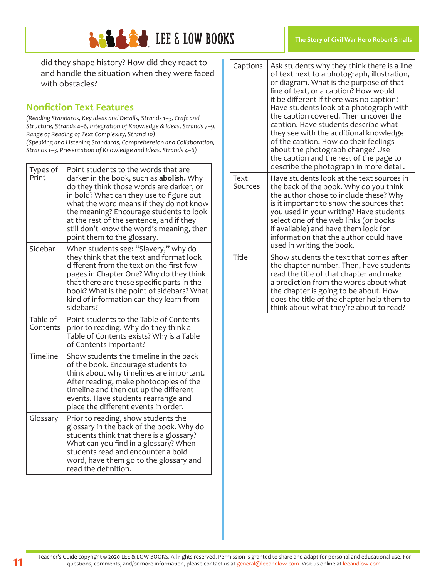

**The Story of Civil War Hero Robert Smalls**

did they shape history? How did they react to and handle the situation when they were faced with obstacles?

### **Nonfiction Text Features**

*(Reading Standards, Key Ideas and Details, Strands 1–3, Craft and Structure, Strands 4–6, Integration of Knowledge & Ideas, Strands 7–9, Range of Reading of Text Complexity, Strand 10) (Speaking and Listening Standards, Comprehension and Collaboration, Strands 1–3, Presentation of Knowledge and Ideas, Strands 4–6)*

| Types of<br>Print    | Point students to the words that are<br>darker in the book, such as <b>abolish.</b> Why<br>do they think those words are darker, or<br>in bold? What can they use to figure out<br>what the word means if they do not know<br>the meaning? Encourage students to look<br>at the rest of the sentence, and if they<br>still don't know the word's meaning, then<br>point them to the glossary. |
|----------------------|-----------------------------------------------------------------------------------------------------------------------------------------------------------------------------------------------------------------------------------------------------------------------------------------------------------------------------------------------------------------------------------------------|
| Sidebar              | When students see: "Slavery," why do<br>they think that the text and format look<br>different from the text on the first few<br>pages in Chapter One? Why do they think<br>that there are these specific parts in the<br>book? What is the point of sidebars? What<br>kind of information can they learn from<br>sidebars?                                                                    |
| Table of<br>Contents | Point students to the Table of Contents<br>prior to reading. Why do they think a<br>Table of Contents exists? Why is a Table<br>of Contents important?                                                                                                                                                                                                                                        |
| Timeline             | Show students the timeline in the back<br>of the book. Encourage students to<br>think about why timelines are important.<br>After reading, make photocopies of the<br>timeline and then cut up the different<br>events. Have students rearrange and<br>place the different events in order.                                                                                                   |
| Glossary             | Prior to reading, show students the<br>glossary in the back of the book. Why do<br>students think that there is a glossary?<br>What can you find in a glossary? When<br>students read and encounter a bold<br>word, have them go to the glossary and<br>read the definition.                                                                                                                  |

| Captions        | Ask students why they think there is a line<br>of text next to a photograph, illustration,<br>or diagram. What is the purpose of that<br>line of text, or a caption? How would<br>it be different if there was no caption?<br>Have students look at a photograph with<br>the caption covered. Then uncover the<br>caption. Have students describe what<br>they see with the additional knowledge<br>of the caption. How do their feelings<br>about the photograph change? Use<br>the caption and the rest of the page to<br>describe the photograph in more detail. |
|-----------------|---------------------------------------------------------------------------------------------------------------------------------------------------------------------------------------------------------------------------------------------------------------------------------------------------------------------------------------------------------------------------------------------------------------------------------------------------------------------------------------------------------------------------------------------------------------------|
| Text<br>Sources | Have students look at the text sources in<br>the back of the book. Why do you think<br>the author chose to include these? Why<br>is it important to show the sources that<br>you used in your writing? Have students<br>select one of the web links (or books<br>if available) and have them look for<br>information that the author could have<br>used in writing the book.                                                                                                                                                                                        |
| Title           | Show students the text that comes after<br>the chapter number. Then, have students<br>read the title of that chapter and make<br>a prediction from the words about what<br>the chapter is going to be about. How<br>does the title of the chapter help them to<br>think about what they're about to read?                                                                                                                                                                                                                                                           |